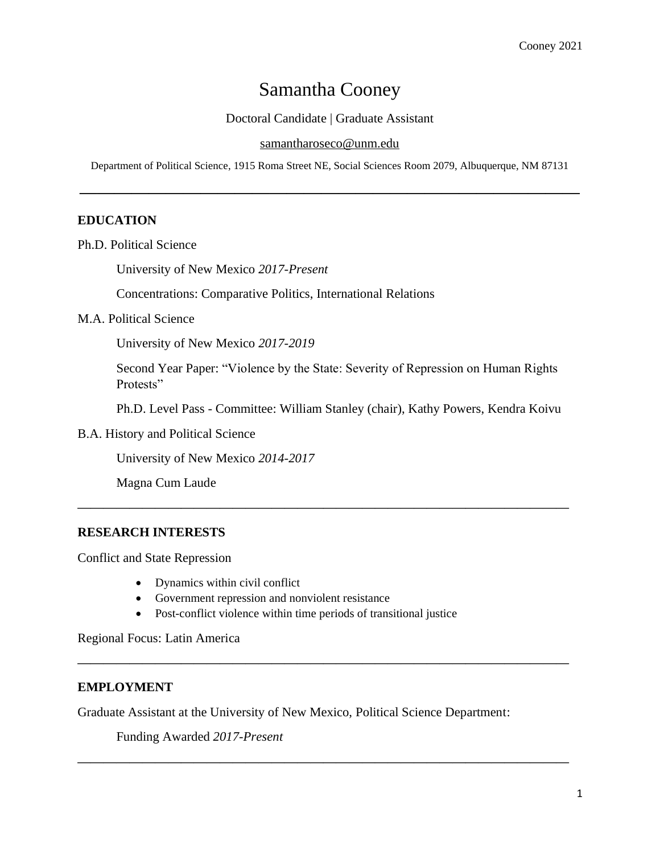# Samantha Cooney

Doctoral Candidate | Graduate Assistant

#### [samantharoseco@unm.edu](mailto:SamanthaRoseCo@unm.edu)

Department of Political Science, 1915 Roma Street NE, Social Sciences Room 2079, Albuquerque, NM 87131

**—————————————————————————————**

# **EDUCATION**

Ph.D. Political Science

University of New Mexico *2017-Present*

Concentrations: Comparative Politics, International Relations

#### M.A. Political Science

University of New Mexico *2017-2019*

Second Year Paper: "Violence by the State: Severity of Repression on Human Rights Protests"

Ph.D. Level Pass - Committee: William Stanley (chair), Kathy Powers, Kendra Koivu

**——————————————————————————————————————**

**——————————————————————————————————————**

**——————————————————————————————————————**

B.A. History and Political Science

University of New Mexico *2014-2017*

Magna Cum Laude

## **RESEARCH INTERESTS**

Conflict and State Repression

- Dynamics within civil conflict
- Government repression and nonviolent resistance
- Post-conflict violence within time periods of transitional justice

Regional Focus: Latin America

## **EMPLOYMENT**

Graduate Assistant at the University of New Mexico, Political Science Department:

Funding Awarded *2017-Present*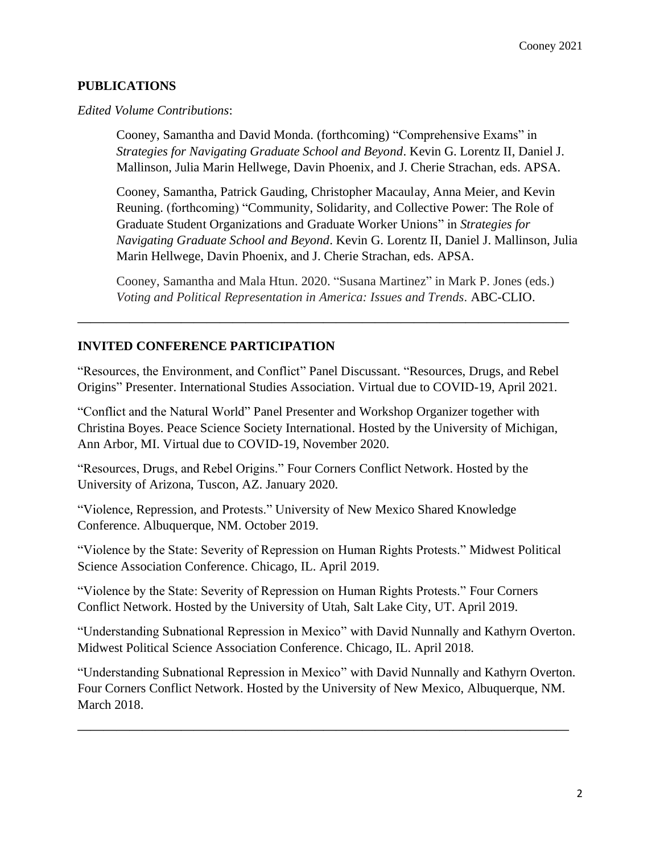# **PUBLICATIONS**

*Edited Volume Contributions*:

Cooney, Samantha and David Monda. (forthcoming) "Comprehensive Exams" in *Strategies for Navigating Graduate School and Beyond*. Kevin G. Lorentz II, Daniel J. Mallinson, Julia Marin Hellwege, Davin Phoenix, and J. Cherie Strachan, eds. APSA.

Cooney, Samantha, Patrick Gauding, Christopher Macaulay, Anna Meier, and Kevin Reuning. (forthcoming) "Community, Solidarity, and Collective Power: The Role of Graduate Student Organizations and Graduate Worker Unions" in *Strategies for Navigating Graduate School and Beyond*. Kevin G. Lorentz II, Daniel J. Mallinson, Julia Marin Hellwege, Davin Phoenix, and J. Cherie Strachan, eds. APSA.

Cooney, Samantha and Mala Htun. 2020. "Susana Martinez" in Mark P. Jones (eds.) *Voting and Political Representation in America: Issues and Trends.* ABC-CLIO.

# **INVITED CONFERENCE PARTICIPATION**

"Resources, the Environment, and Conflict" Panel Discussant. "Resources, Drugs, and Rebel Origins" Presenter. International Studies Association. Virtual due to COVID-19, April 2021*.*

**——————————————————————————————————————**

"Conflict and the Natural World" Panel Presenter and Workshop Organizer together with Christina Boyes. Peace Science Society International. Hosted by the University of Michigan, Ann Arbor, MI. Virtual due to COVID-19, November 2020.

"Resources, Drugs, and Rebel Origins." Four Corners Conflict Network. Hosted by the University of Arizona, Tuscon, AZ. January 2020.

"Violence, Repression, and Protests." University of New Mexico Shared Knowledge Conference. Albuquerque, NM. October 2019.

"Violence by the State: Severity of Repression on Human Rights Protests." Midwest Political Science Association Conference. Chicago, IL. April 2019.

"Violence by the State: Severity of Repression on Human Rights Protests." Four Corners Conflict Network. Hosted by the University of Utah, Salt Lake City, UT. April 2019.

"Understanding Subnational Repression in Mexico" with David Nunnally and Kathyrn Overton. Midwest Political Science Association Conference. Chicago, IL. April 2018.

"Understanding Subnational Repression in Mexico" with David Nunnally and Kathyrn Overton. Four Corners Conflict Network. Hosted by the University of New Mexico, Albuquerque, NM. March 2018.

**——————————————————————————————————————**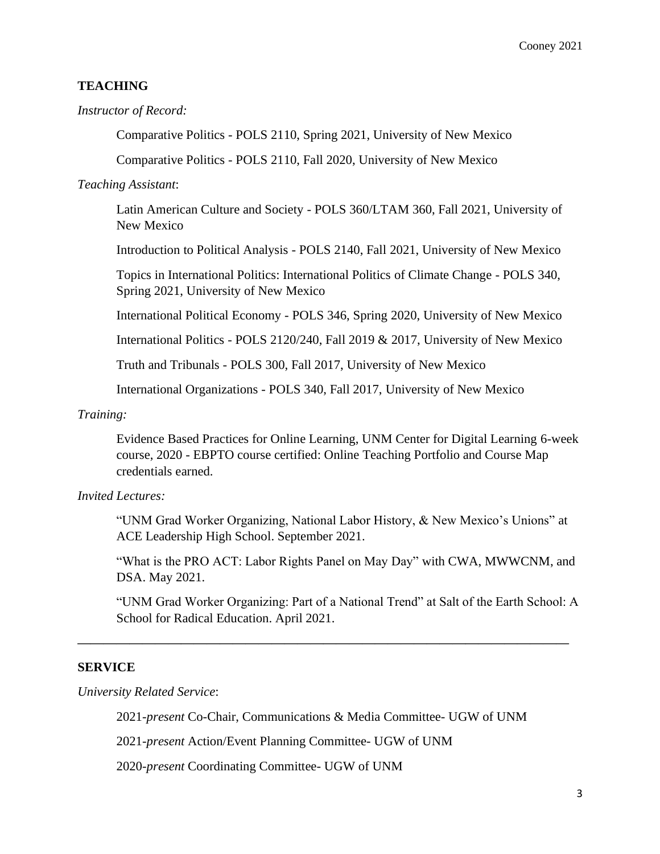# **TEACHING**

#### *Instructor of Record:*

Comparative Politics - POLS 2110, Spring 2021, University of New Mexico

Comparative Politics - POLS 2110, Fall 2020, University of New Mexico

#### *Teaching Assistant*:

Latin American Culture and Society - POLS 360/LTAM 360, Fall 2021, University of New Mexico

Introduction to Political Analysis - POLS 2140, Fall 2021, University of New Mexico

Topics in International Politics: International Politics of Climate Change - POLS 340, Spring 2021, University of New Mexico

International Political Economy - POLS 346, Spring 2020, University of New Mexico

International Politics - POLS 2120/240, Fall 2019 & 2017, University of New Mexico

Truth and Tribunals - POLS 300, Fall 2017, University of New Mexico

International Organizations - POLS 340, Fall 2017, University of New Mexico

#### *Training:*

Evidence Based Practices for Online Learning, UNM Center for Digital Learning 6-week course, 2020 - EBPTO course certified: Online Teaching Portfolio and Course Map credentials earned.

## *Invited Lectures:*

"UNM Grad Worker Organizing, National Labor History, & New Mexico's Unions" at ACE Leadership High School. September 2021.

"What is the PRO ACT: Labor Rights Panel on May Day" with CWA, MWWCNM, and DSA. May 2021.

"UNM Grad Worker Organizing: Part of a National Trend" at Salt of the Earth School: A School for Radical Education. April 2021.

## **SERVICE**

*University Related Service*:

2021-*present* Co-Chair, Communications & Media Committee- UGW of UNM

**——————————————————————————————————————**

2021-*present* Action/Event Planning Committee- UGW of UNM

2020-*present* Coordinating Committee- UGW of UNM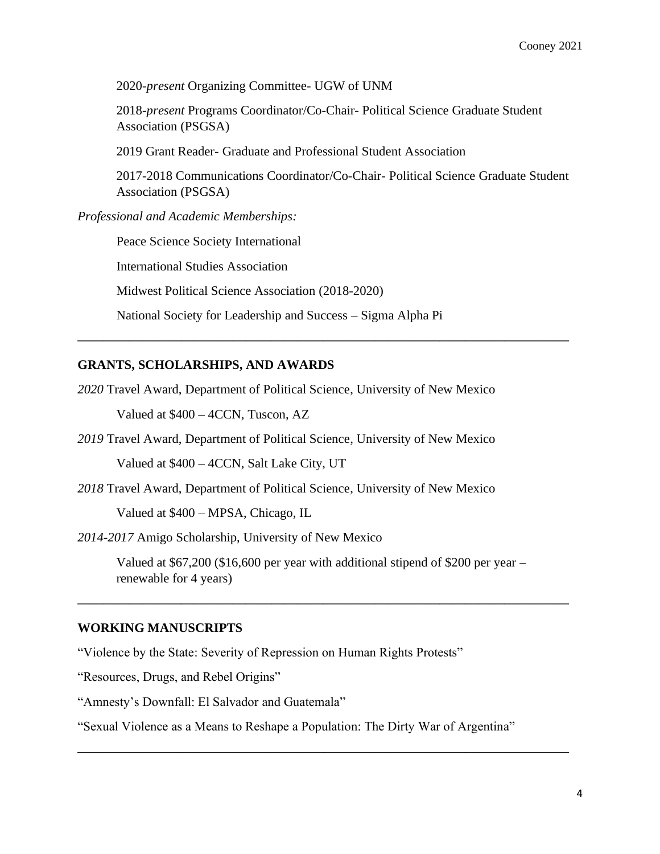2020-*present* Organizing Committee- UGW of UNM

2018-*present* Programs Coordinator/Co-Chair- Political Science Graduate Student Association (PSGSA)

2019 Grant Reader- Graduate and Professional Student Association

2017-2018 Communications Coordinator/Co-Chair- Political Science Graduate Student Association (PSGSA)

*Professional and Academic Memberships:*

Peace Science Society International

International Studies Association

Midwest Political Science Association (2018-2020)

National Society for Leadership and Success – Sigma Alpha Pi

#### **GRANTS, SCHOLARSHIPS, AND AWARDS**

*2020* Travel Award, Department of Political Science, University of New Mexico Valued at \$400 – 4CCN, Tuscon, AZ

**——————————————————————————————————————**

*2019* Travel Award, Department of Political Science, University of New Mexico

Valued at \$400 – 4CCN, Salt Lake City, UT

*2018* Travel Award, Department of Political Science, University of New Mexico

Valued at \$400 – MPSA, Chicago, IL

*2014-2017* Amigo Scholarship, University of New Mexico

Valued at \$67,200 (\$16,600 per year with additional stipend of \$200 per year – renewable for 4 years)

**——————————————————————————————————————**

**——————————————————————————————————————**

#### **WORKING MANUSCRIPTS**

"Violence by the State: Severity of Repression on Human Rights Protests"

"Resources, Drugs, and Rebel Origins"

"Amnesty's Downfall: El Salvador and Guatemala"

"Sexual Violence as a Means to Reshape a Population: The Dirty War of Argentina"